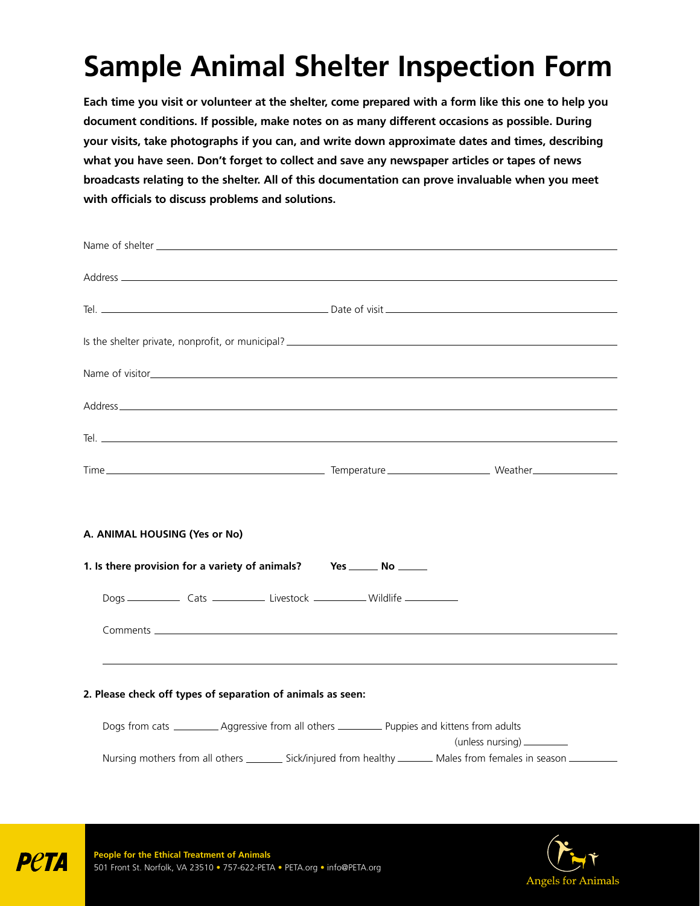# **Sample Animal Shelter Inspection Form**

**Each time you visit or volunteer at the shelter, come prepared with a form like this one to help you document conditions. If possible, make notes on as many different occasions as possible. During your visits, take photographs if you can, and write down approximate dates and times, describing what you have seen. Don't forget to collect and save any newspaper articles or tapes of news broadcasts relating to the shelter. All of this documentation can prove invaluable when you meet with officials to discuss problems and solutions.** 

| A. ANIMAL HOUSING (Yes or No)<br>1. Is there provision for a variety of animals? Yes _______ No ______<br>,我们也不会有什么。""我们的人,我们也不会有什么?""我们的人,我们也不会有什么?""我们的人,我们也不会有什么?""我们的人,我们也不会有什么?""我们的人<br>2. Please check off types of separation of animals as seen:<br>Dogs from cats ____________ Aggressive from all others ___________ Puppies and kittens from adults<br>(unless nursing) _________<br>Nursing mothers from all others __________ Sick/injured from healthy ________ Males from females in season __________ |  |  |
|------------------------------------------------------------------------------------------------------------------------------------------------------------------------------------------------------------------------------------------------------------------------------------------------------------------------------------------------------------------------------------------------------------------------------------------------------------------------------------------------------------------------|--|--|
|                                                                                                                                                                                                                                                                                                                                                                                                                                                                                                                        |  |  |
|                                                                                                                                                                                                                                                                                                                                                                                                                                                                                                                        |  |  |
|                                                                                                                                                                                                                                                                                                                                                                                                                                                                                                                        |  |  |
|                                                                                                                                                                                                                                                                                                                                                                                                                                                                                                                        |  |  |
|                                                                                                                                                                                                                                                                                                                                                                                                                                                                                                                        |  |  |
|                                                                                                                                                                                                                                                                                                                                                                                                                                                                                                                        |  |  |
|                                                                                                                                                                                                                                                                                                                                                                                                                                                                                                                        |  |  |
|                                                                                                                                                                                                                                                                                                                                                                                                                                                                                                                        |  |  |
|                                                                                                                                                                                                                                                                                                                                                                                                                                                                                                                        |  |  |
|                                                                                                                                                                                                                                                                                                                                                                                                                                                                                                                        |  |  |
|                                                                                                                                                                                                                                                                                                                                                                                                                                                                                                                        |  |  |
|                                                                                                                                                                                                                                                                                                                                                                                                                                                                                                                        |  |  |
|                                                                                                                                                                                                                                                                                                                                                                                                                                                                                                                        |  |  |
|                                                                                                                                                                                                                                                                                                                                                                                                                                                                                                                        |  |  |
|                                                                                                                                                                                                                                                                                                                                                                                                                                                                                                                        |  |  |
|                                                                                                                                                                                                                                                                                                                                                                                                                                                                                                                        |  |  |
|                                                                                                                                                                                                                                                                                                                                                                                                                                                                                                                        |  |  |



**PPTI**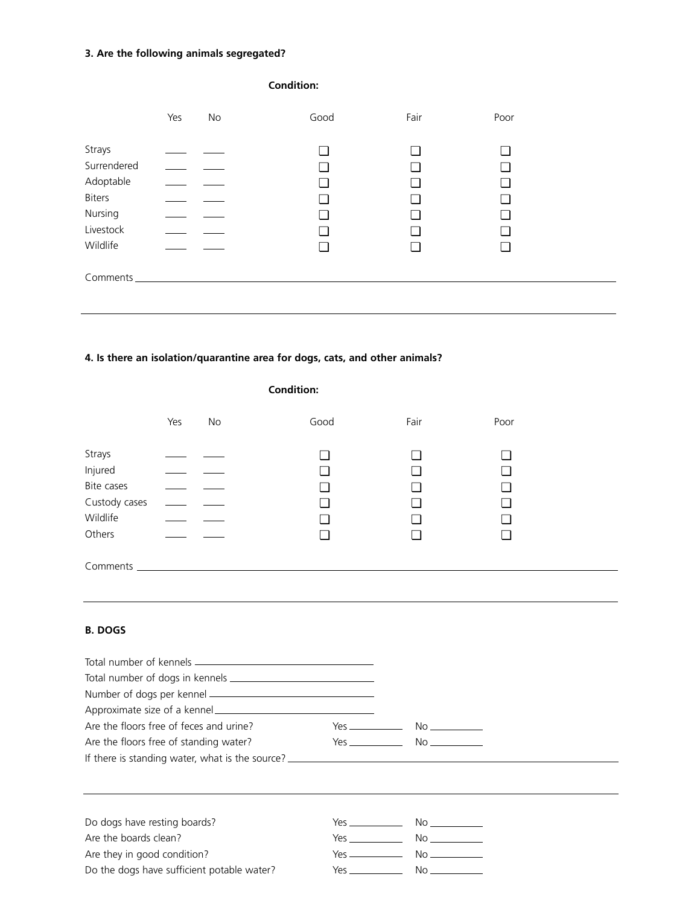## **3. Are the following animals segregated?**

| <b>Condition:</b>                                                                       |     |    |      |                               |                                   |  |
|-----------------------------------------------------------------------------------------|-----|----|------|-------------------------------|-----------------------------------|--|
|                                                                                         | Yes | No | Good | Fair                          | Poor                              |  |
| Strays<br>Surrendered<br>Adoptable<br><b>Biters</b><br>Nursing<br>Livestock<br>Wildlife |     |    | ┓    | $\overline{\phantom{a}}$<br>┓ | ❏<br>◘<br>□<br>❏<br>l 1<br>◘<br>⊔ |  |
|                                                                                         |     |    |      |                               |                                   |  |

## **4. Is there an isolation/quarantine area for dogs, cats, and other animals?**

|               | <b>Condition:</b> |    |      |      |      |
|---------------|-------------------|----|------|------|------|
|               | Yes               | No | Good | Fair | Poor |
| Strays        |                   |    |      | ⊔    |      |
| Injured       |                   |    |      | ❏    | ❏    |
| Bite cases    | $\sim$ $\sim$     |    |      | ⊔    | ┚    |
| Custody cases |                   |    |      | ⊔    | ❏    |
| Wildlife      |                   |    |      | ⊔    | ❏    |
| Others        |                   |    |      | ⊔    | ❏    |
| Comments      |                   |    |      |      |      |
|               |                   |    |      |      |      |

### **B. DOGS**

| Are the floors free of feces and urine?    |                                                                                                                                                                                                                                    | $Yes$ $No$                                    |
|--------------------------------------------|------------------------------------------------------------------------------------------------------------------------------------------------------------------------------------------------------------------------------------|-----------------------------------------------|
|                                            |                                                                                                                                                                                                                                    |                                               |
| Are the floors free of standing water?     |                                                                                                                                                                                                                                    | $Yes$ $No$ $No$                               |
|                                            |                                                                                                                                                                                                                                    |                                               |
| Do dogs have resting boards?               | <b>Yes</b> and the contract of the contract of the contract of the contract of the contract of the contract of the contract of the contract of the contract of the contract of the contract of the contract of the contract of the |                                               |
| Are the boards clean?                      |                                                                                                                                                                                                                                    | $Yes$ $No$ $No$                               |
| Are they in good condition?                |                                                                                                                                                                                                                                    | $Yes$ $No$ $\qquad \qquad No$ $\qquad \qquad$ |
| Do the dogs have sufficient potable water? |                                                                                                                                                                                                                                    | $Yes$ $No$ $No$                               |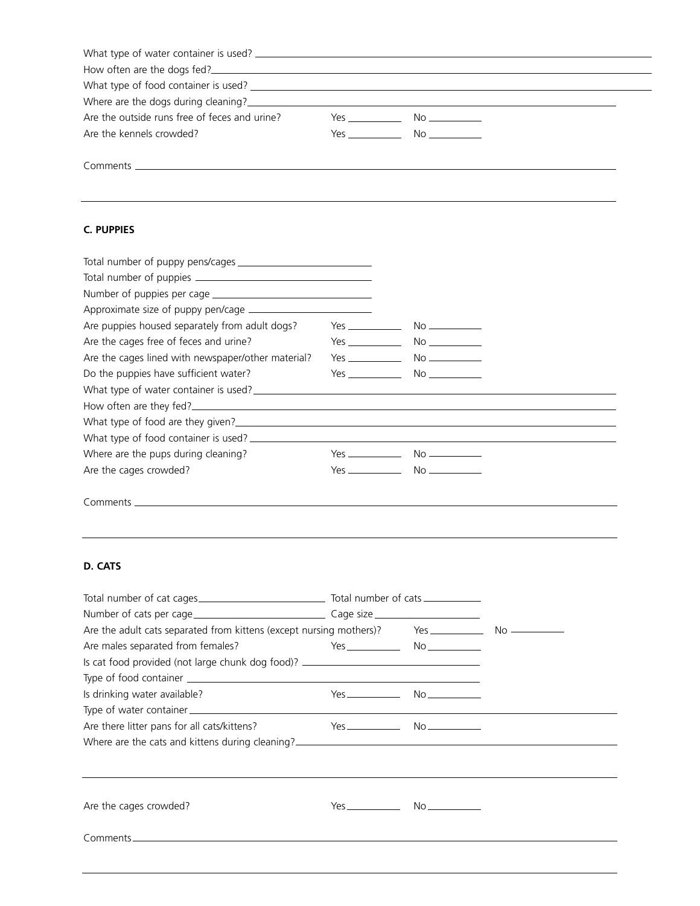| How often are the dogs fed?                   |                     |  |
|-----------------------------------------------|---------------------|--|
|                                               |                     |  |
|                                               |                     |  |
| Are the outside runs free of feces and urine? | $Yes$ $No$ $\qquad$ |  |
| Are the kennels crowded?                      | Yes No              |  |
|                                               |                     |  |

,我们也不会有什么。""我们的人,我们也不会有什么?""我们的人,我们也不会有什么?""我们的人,我们的人,我们的人,我们的人,我们的人,我们的人,我们的人,我

Comments

### **C. PUPPIES**

| Are puppies housed separately from adult dogs?     |                              |  |
|----------------------------------------------------|------------------------------|--|
| Are the cages free of feces and urine?             | $Yes$ $No$ $No$              |  |
| Are the cages lined with newspaper/other material? | $Yes$ $No$ $\longrightarrow$ |  |
| Do the puppies have sufficient water?              | $Yes$ No                     |  |
|                                                    |                              |  |
|                                                    |                              |  |
|                                                    |                              |  |
|                                                    |                              |  |
| Where are the pups during cleaning?                |                              |  |
| Are the cages crowded?                             | $Yes$ $No$ $No$              |  |
|                                                    |                              |  |

,我们也不会有什么。""我们的人,我们也不会有什么?""我们的人,我们也不会有什么?""我们的人,我们的人,我们的人,我们的人,我们的人,我们的人,我们的人,我

Comments

#### **D. CATS**

| Are males separated from females?                                                | $Yes$ and $No$ and $No$ and $No$ and $No$ and $No$ and $No$ and $No$ and $No$ and $No$ and $No$ and $No$ and $No$ and $No$ and $No$ and $No$ and $No$ and $No$ and $No$ and $No$ and $No$ and $No$ and $No$ and $No$ and $No$ and $No$ and $No$ and $No$ a |  |  |
|----------------------------------------------------------------------------------|------------------------------------------------------------------------------------------------------------------------------------------------------------------------------------------------------------------------------------------------------------|--|--|
| Is cat food provided (not large chunk dog food)? _______________________________ |                                                                                                                                                                                                                                                            |  |  |
|                                                                                  |                                                                                                                                                                                                                                                            |  |  |
| Is drinking water available?                                                     | $Yes$ No                                                                                                                                                                                                                                                   |  |  |
|                                                                                  |                                                                                                                                                                                                                                                            |  |  |
| Are there litter pans for all cats/kittens?                                      |                                                                                                                                                                                                                                                            |  |  |
|                                                                                  |                                                                                                                                                                                                                                                            |  |  |
|                                                                                  |                                                                                                                                                                                                                                                            |  |  |
| Are the cages crowded?                                                           | $Yes$ $No$                                                                                                                                                                                                                                                 |  |  |
|                                                                                  |                                                                                                                                                                                                                                                            |  |  |
|                                                                                  |                                                                                                                                                                                                                                                            |  |  |